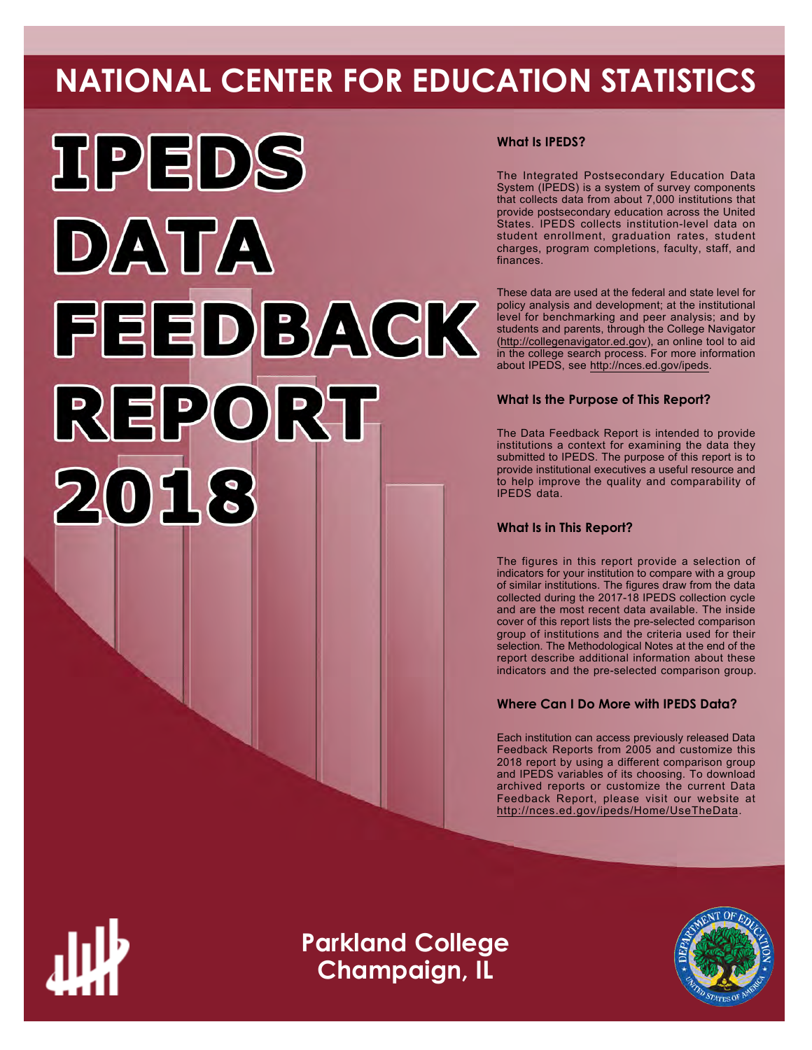# **NATIONAL CENTER FOR EDUCATION STATISTICS**



# **What Is IPEDS?**

The Integrated Postsecondary Education Data System (IPEDS) is a system of survey components that collects data from about 7,000 institutions that provide postsecondary education across the United States. IPEDS collects institution-level data on student enrollment, graduation rates, student charges, program completions, faculty, staff, and finances.

These data are used at the federal and state level for policy analysis and development; at the institutional level for benchmarking and peer analysis; and by students and parents, through the College Navigator ([http://collegenavigator.ed.gov\)](http://collegenavigator.ed.gov), an online tool to aid in the college search process. For more information about IPEDS, see [http://nces.ed.gov/ipeds.](http://nces.ed.gov/ipeds)

# **What Is the Purpose of This Report?**

The Data Feedback Report is intended to provide institutions a context for examining the data they submitted to IPEDS. The purpose of this report is to provide institutional executives a useful resource and to help improve the quality and comparability of IPEDS data.

# **What Is in This Report?**

The figures in this report provide a selection of indicators for your institution to compare with a group of similar institutions. The figures draw from the data collected during the 2017-18 IPEDS collection cycle and are the most recent data available. The inside cover of this report lists the pre-selected comparison group of institutions and the criteria used for their selection. The Methodological Notes at the end of the report describe additional information about these indicators and the pre-selected comparison group.

# **Where Can I Do More with IPEDS Data?**

Each institution can access previously released Data Feedback Reports from 2005 and customize this 2018 report by using a different comparison group and IPEDS variables of its choosing. To download archived reports or customize the current Data Feedback Report, please visit our website at <http://nces.ed.gov/ipeds/Home/UseTheData>.



**Parkland College Champaign, IL**

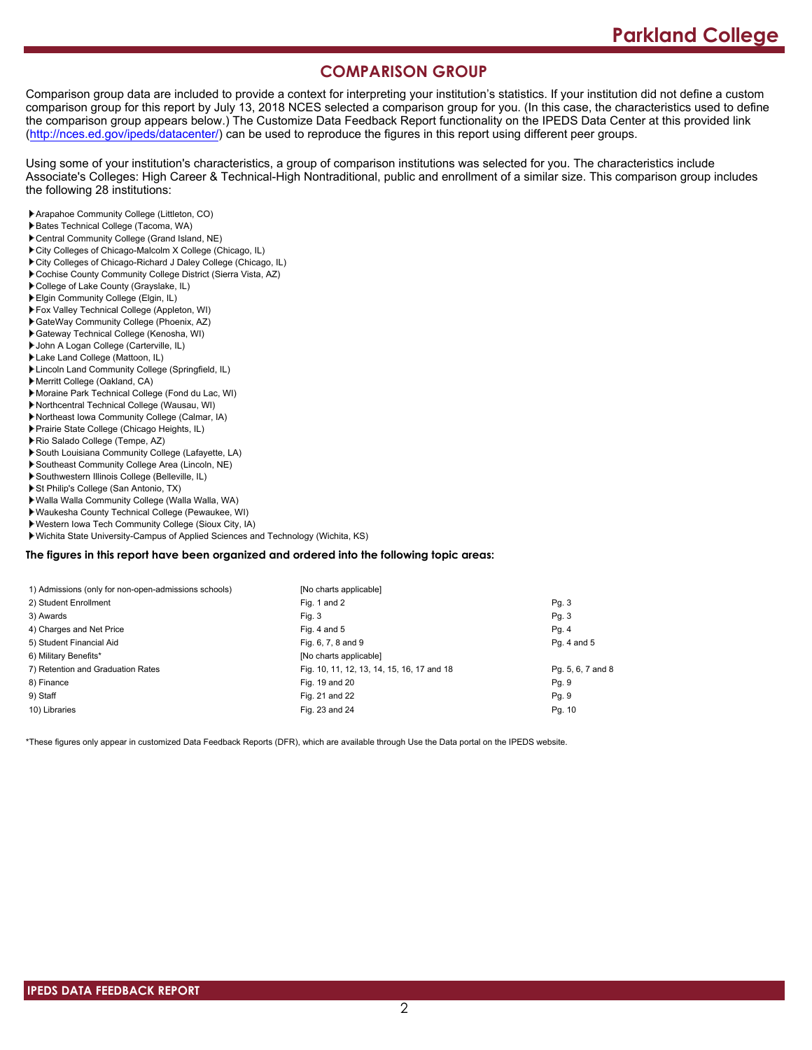# **COMPARISON GROUP**

Comparison group data are included to provide a context for interpreting your institution's statistics. If your institution did not define a custom comparison group for this report by July 13, 2018 NCES selected a comparison group for you. (In this case, the characteristics used to define the comparison group appears below.) The Customize Data Feedback Report functionality on the IPEDS Data Center at this provided link [\(http://nces.ed.gov/ipeds/datacenter/\)](http://nces.ed.gov/ipeds/datacenter/) can be used to reproduce the figures in this report using different peer groups.

Using some of your institution's characteristics, a group of comparison institutions was selected for you. The characteristics include Associate's Colleges: High Career & Technical-High Nontraditional, public and enrollment of a similar size. This comparison group includes the following 28 institutions:

- Arapahoe Community College (Littleton, CO)
- Bates Technical College (Tacoma, WA)
- Central Community College (Grand Island, NE)
- City Colleges of Chicago-Malcolm X College (Chicago, IL)
- City Colleges of Chicago-Richard J Daley College (Chicago, IL)
- Cochise County Community College District (Sierra Vista, AZ)
- College of Lake County (Grayslake, IL)
- Elgin Community College (Elgin, IL)
- Fox Valley Technical College (Appleton, WI)
- GateWay Community College (Phoenix, AZ)
- Gateway Technical College (Kenosha, WI)
- John A Logan College (Carterville, IL)
- Lake Land College (Mattoon, IL)
- Lincoln Land Community College (Springfield, IL)
- Merritt College (Oakland, CA)
- Moraine Park Technical College (Fond du Lac, WI)
- Northcentral Technical College (Wausau, WI)
- Northeast Iowa Community College (Calmar, IA)
- Prairie State College (Chicago Heights, IL) Rio Salado College (Tempe, AZ)
- South Louisiana Community College (Lafayette, LA)
- Southeast Community College Area (Lincoln, NE)
- Southwestern Illinois College (Belleville, IL)
- St Philip's College (San Antonio, TX)
- 
- Walla Walla Community College (Walla Walla, WA) Waukesha County Technical College (Pewaukee, WI)
- Western Iowa Tech Community College (Sioux City, IA)
- Wichita State University-Campus of Applied Sciences and Technology (Wichita, KS)

### **The figures in this report have been organized and ordered into the following topic areas:**

| 1) Admissions (only for non-open-admissions schools) | [No charts applicable]                     |                   |
|------------------------------------------------------|--------------------------------------------|-------------------|
| 2) Student Enrollment                                | Fig. 1 and 2                               | Pg.3              |
| 3) Awards                                            | Fig. 3                                     | Pg. 3             |
| 4) Charges and Net Price                             | Fig. 4 and $5$                             | Pg.4              |
| 5) Student Financial Aid                             | Fig. 6, 7, 8 and 9                         | Pg. 4 and 5       |
| 6) Military Benefits*                                | [No charts applicable]                     |                   |
| 7) Retention and Graduation Rates                    | Fig. 10, 11, 12, 13, 14, 15, 16, 17 and 18 | Pg. 5, 6, 7 and 8 |
| 8) Finance                                           | Fig. 19 and 20                             | Pg. 9             |
| 9) Staff                                             | Fig. 21 and 22                             | Pg. 9             |
| 10) Libraries                                        | Fig. 23 and 24                             | Pg. 10            |

\*These figures only appear in customized Data Feedback Reports (DFR), which are available through Use the Data portal on the IPEDS website.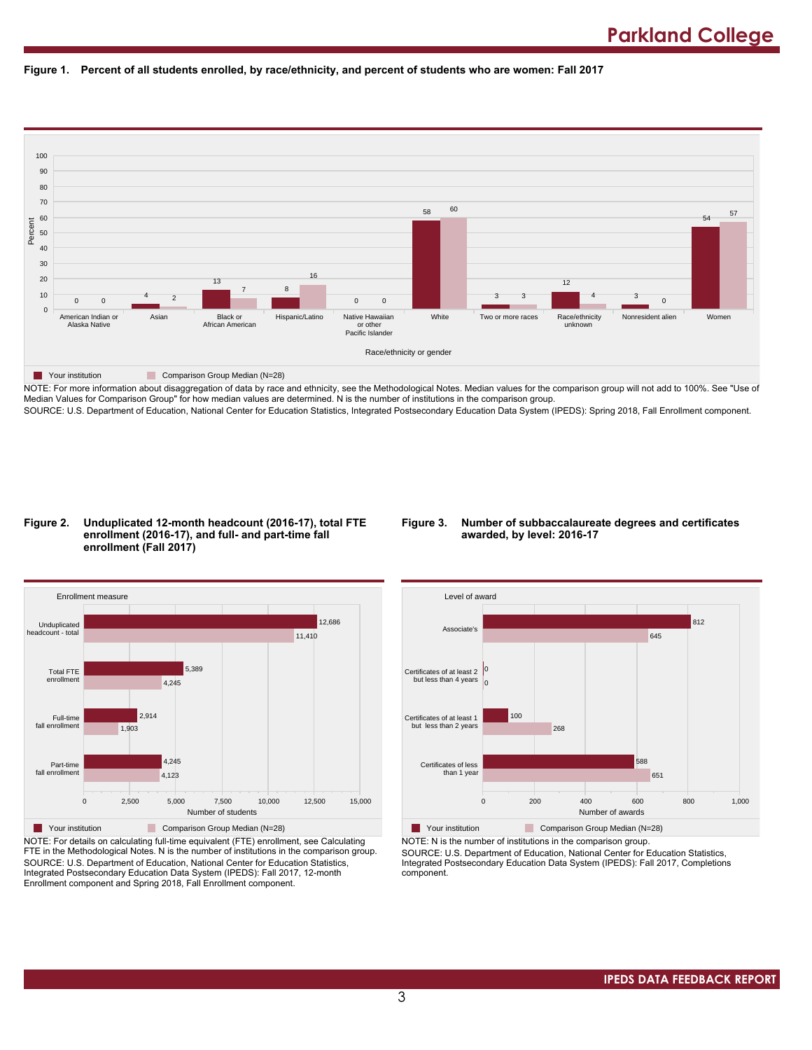



NOTE: For more information about disaggregation of data by race and ethnicity, see the Methodological Notes. Median values for the comparison group will not add to 100%. See "Use of Median Values for Comparison Group" for how median values are determined. N is the number of institutions in the comparison group. SOURCE: U.S. Department of Education, National Center for Education Statistics, Integrated Postsecondary Education Data System (IPEDS): Spring 2018, Fall Enrollment component.

#### **Figure 2. Unduplicated 12-month headcount (2016-17), total FTE enrollment (2016-17), and full- and part-time fall enrollment (Fall 2017)**

### **Figure 3. Number of subbaccalaureate degrees and certificates awarded, by level: 2016-17**



NOTE: For details on calculating full-time equivalent (FTE) enrollment, see Calculating FTE in the Methodological Notes. N is the number of institutions in the comparison group. SOURCE: U.S. Department of Education, National Center for Education Statistics, Integrated Postsecondary Education Data System (IPEDS): Fall 2017, 12-month Enrollment component and Spring 2018, Fall Enrollment component.



**The Your institution Comparison Group Median (N=28)** NOTE: N is the number of institutions in the comparison group.

SOURCE: U.S. Department of Education, National Center for Education Statistics, Integrated Postsecondary Education Data System (IPEDS): Fall 2017, Completions component.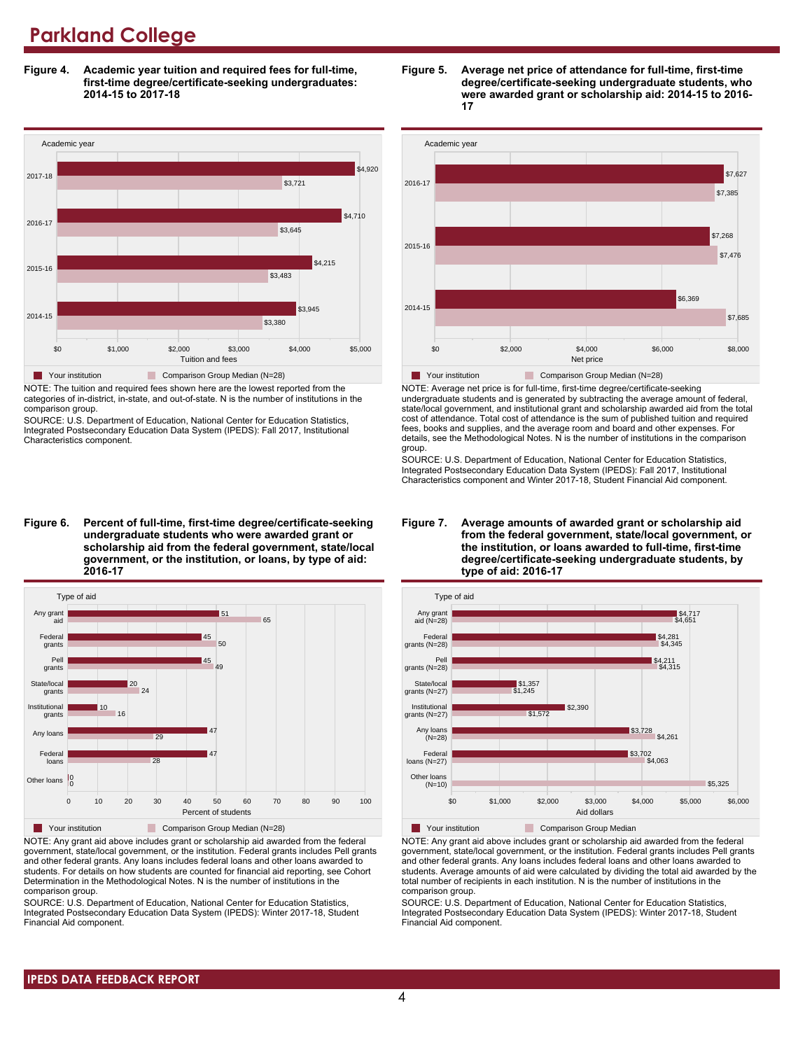**Figure 4. Academic year tuition and required fees for full-time, first-time degree/certificate-seeking undergraduates: 2014-15 to 2017-18**



NOTE: The tuition and required fees shown here are the lowest reported from the categories of in-district, in-state, and out-of-state. N is the number of institutions in the comparison group.

SOURCE: U.S. Department of Education, National Center for Education Statistics, Integrated Postsecondary Education Data System (IPEDS): Fall 2017, Institutional Characteristics component.

**Figure 6. Percent of full-time, first-time degree/certificate-seeking undergraduate students who were awarded grant or scholarship aid from the federal government, state/local government, or the institution, or loans, by type of aid: 2016-17**



NOTE: Any grant aid above includes grant or scholarship aid awarded from the federal government, state/local government, or the institution. Federal grants includes Pell grants and other federal grants. Any loans includes federal loans and other loans awarded to students. For details on how students are counted for financial aid reporting, see Cohort Determination in the Methodological Notes. N is the number of institutions in the comparison group.

SOURCE: U.S. Department of Education, National Center for Education Statistics, Integrated Postsecondary Education Data System (IPEDS): Winter 2017-18, Student Financial Aid component.





NOTE: Average net price is for full-time, first-time degree/certificate-seeking undergraduate students and is generated by subtracting the average amount of federal, state/local government, and institutional grant and scholarship awarded aid from the total cost of attendance. Total cost of attendance is the sum of published tuition and required fees, books and supplies, and the average room and board and other expenses. For details, see the Methodological Notes. N is the number of institutions in the comparison group.

SOURCE: U.S. Department of Education, National Center for Education Statistics, Integrated Postsecondary Education Data System (IPEDS): Fall 2017, Institutional Characteristics component and Winter 2017-18, Student Financial Aid component.





**The Your institution** Comparison Group Median

NOTE: Any grant aid above includes grant or scholarship aid awarded from the federal government, state/local government, or the institution. Federal grants includes Pell grants and other federal grants. Any loans includes federal loans and other loans awarded to students. Average amounts of aid were calculated by dividing the total aid awarded by the total number of recipients in each institution. N is the number of institutions in the comparison group.

SOURCE: U.S. Department of Education, National Center for Education Statistics, Integrated Postsecondary Education Data System (IPEDS): Winter 2017-18, Student Financial Aid component.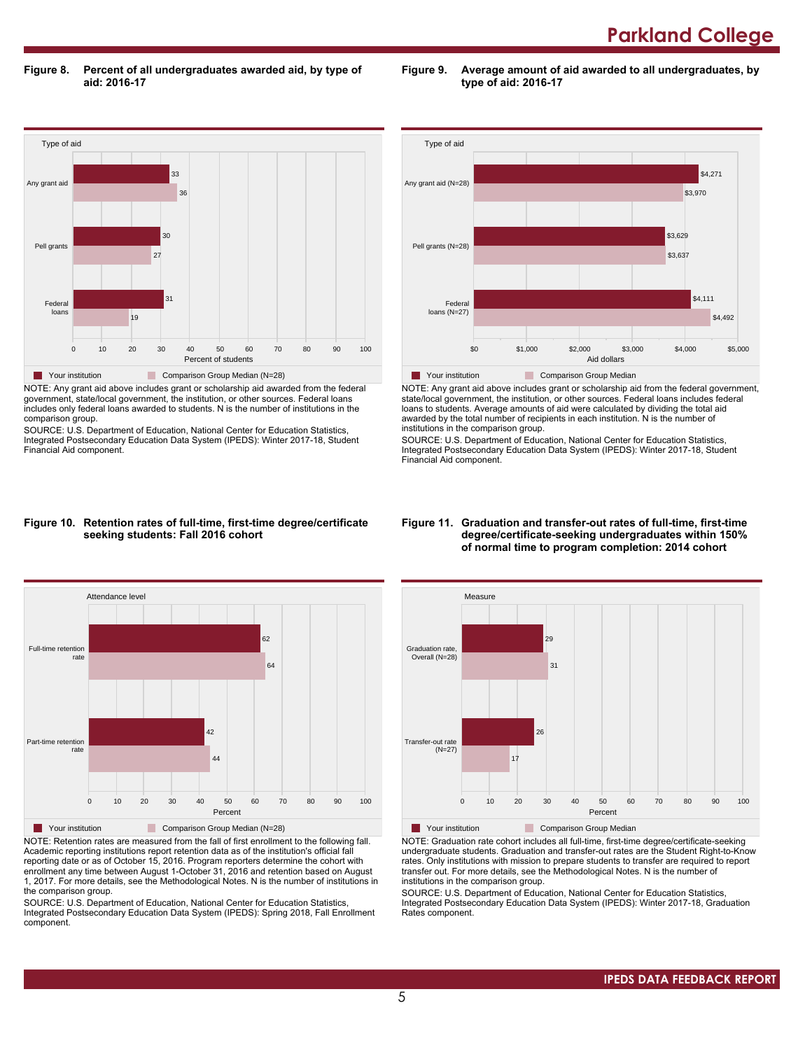**Figure 8. Percent of all undergraduates awarded aid, by type of aid: 2016-17**

**Figure 9. Average amount of aid awarded to all undergraduates, by type of aid: 2016-17**



NOTE: Any grant aid above includes grant or scholarship aid awarded from the federal government, state/local government, the institution, or other sources. Federal loans includes only federal loans awarded to students. N is the number of institutions in the comparison group.

SOURCE: U.S. Department of Education, National Center for Education Statistics, Integrated Postsecondary Education Data System (IPEDS): Winter 2017-18, Student Financial Aid component.



NOTE: Any grant aid above includes grant or scholarship aid from the federal government, state/local government, the institution, or other sources. Federal loans includes federal loans to students. Average amounts of aid were calculated by dividing the total aid awarded by the total number of recipients in each institution. N is the number of institutions in the comparison group.

SOURCE: U.S. Department of Education, National Center for Education Statistics, Integrated Postsecondary Education Data System (IPEDS): Winter 2017-18, Student Financial Aid component.

#### **Figure 10. Retention rates of full-time, first-time degree/certificate seeking students: Fall 2016 cohort**



NOTE: Retention rates are measured from the fall of first enrollment to the following fall. Academic reporting institutions report retention data as of the institution's official fall reporting date or as of October 15, 2016. Program reporters determine the cohort with enrollment any time between August 1-October 31, 2016 and retention based on August 1, 2017. For more details, see the Methodological Notes. N is the number of institutions in the comparison group.

SOURCE: U.S. Department of Education, National Center for Education Statistics, Integrated Postsecondary Education Data System (IPEDS): Spring 2018, Fall Enrollment component.

#### **Figure 11. Graduation and transfer-out rates of full-time, first-time degree/certificate-seeking undergraduates within 150% of normal time to program completion: 2014 cohort**



NOTE: Graduation rate cohort includes all full-time, first-time degree/certificate-seeking undergraduate students. Graduation and transfer-out rates are the Student Right-to-Know rates. Only institutions with mission to prepare students to transfer are required to report transfer out. For more details, see the Methodological Notes. N is the number of institutions in the comparison group.

SOURCE: U.S. Department of Education, National Center for Education Statistics, Integrated Postsecondary Education Data System (IPEDS): Winter 2017-18, Graduation Rates component.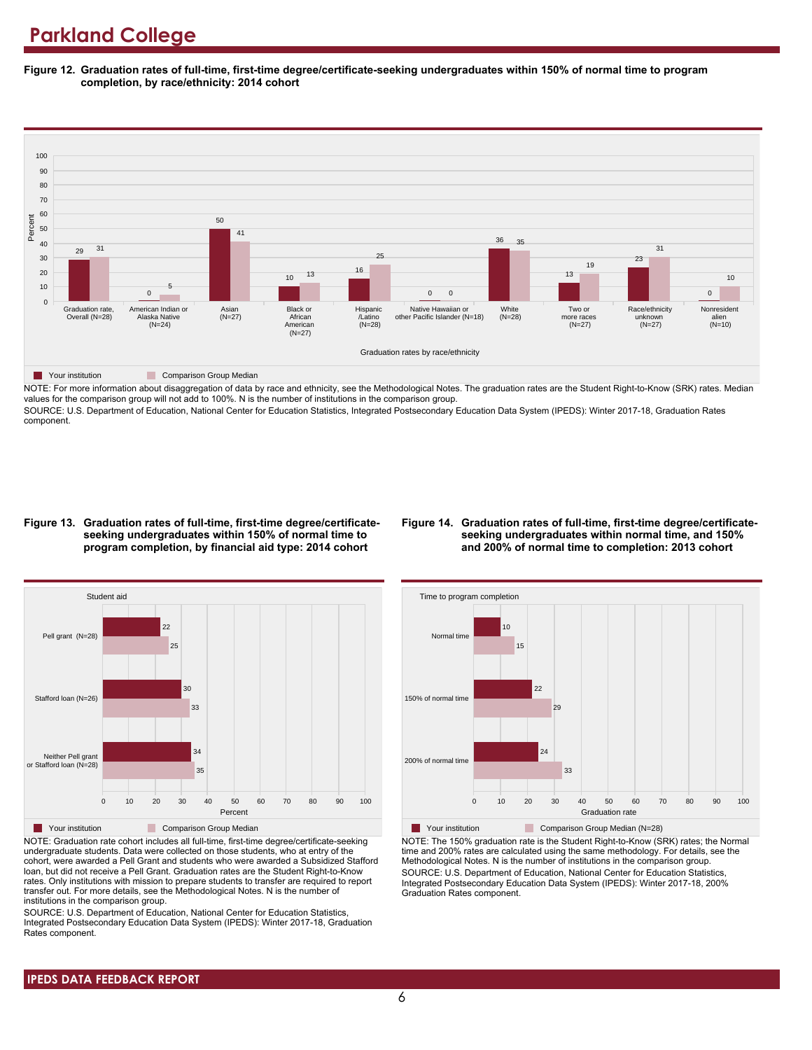**Figure 12. Graduation rates of full-time, first-time degree/certificate-seeking undergraduates within 150% of normal time to program completion, by race/ethnicity: 2014 cohort**



NOTE: For more information about disaggregation of data by race and ethnicity, see the Methodological Notes. The graduation rates are the Student Right-to-Know (SRK) rates. Median values for the comparison group will not add to 100%. N is the number of institutions in the comparison group.

SOURCE: U.S. Department of Education, National Center for Education Statistics, Integrated Postsecondary Education Data System (IPEDS): Winter 2017-18, Graduation Rates component.

#### **Figure 13. Graduation rates of full-time, first-time degree/certificateseeking undergraduates within 150% of normal time to program completion, by financial aid type: 2014 cohort**

#### **Figure 14. Graduation rates of full-time, first-time degree/certificateseeking undergraduates within normal time, and 150% and 200% of normal time to completion: 2013 cohort**



NOTE: Graduation rate cohort includes all full-time, first-time degree/certificate-seeking undergraduate students. Data were collected on those students, who at entry of the cohort, were awarded a Pell Grant and students who were awarded a Subsidized Stafford loan, but did not receive a Pell Grant. Graduation rates are the Student Right-to-Know rates. Only institutions with mission to prepare students to transfer are required to report transfer out. For more details, see the Methodological Notes. N is the number of institutions in the comparison group.

SOURCE: U.S. Department of Education, National Center for Education Statistics, Integrated Postsecondary Education Data System (IPEDS): Winter 2017-18, Graduation Rates component.



Your institution Comparison Group Median (N=28) NOTE: The 150% graduation rate is the Student Right-to-Know (SRK) rates; the Normal time and 200% rates are calculated using the same methodology. For details, see the Methodological Notes. N is the number of institutions in the comparison group. SOURCE: U.S. Department of Education, National Center for Education Statistics, Integrated Postsecondary Education Data System (IPEDS): Winter 2017-18, 200% Graduation Rates component.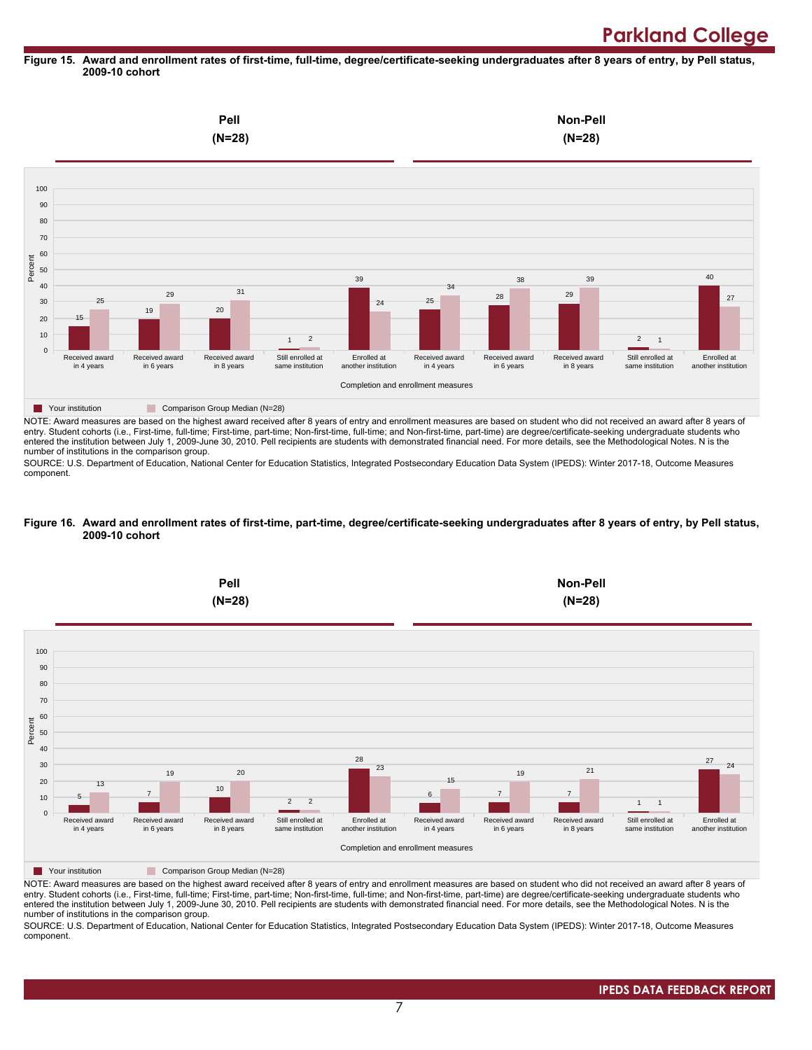#### **Figure 15. Award and enrollment rates of first-time, full-time, degree/certificate-seeking undergraduates after 8 years of entry, by Pell status, 2009-10 cohort**



NOTE: Award measures are based on the highest award received after 8 years of entry and enrollment measures are based on student who did not received an award after 8 years of entry. Student cohorts (i.e., First-time, full-time; First-time, part-time; Non-first-time, full-time; and Non-first-time, part-time) are degree/certificate-seeking undergraduate students who entered the institution between July 1, 2009-June 30, 2010. Pell recipients are students with demonstrated financial need. For more details, see the Methodological Notes. N is the number of institutions in the comparison group.

SOURCE: U.S. Department of Education, National Center for Education Statistics, Integrated Postsecondary Education Data System (IPEDS): Winter 2017-18, Outcome Measures component.

#### **Figure 16. Award and enrollment rates of first-time, part-time, degree/certificate-seeking undergraduates after 8 years of entry, by Pell status, 2009-10 cohort**



NOTE: Award measures are based on the highest award received after 8 years of entry and enrollment measures are based on student who did not received an award after 8 years of entry. Student cohorts (i.e., First-time, full-time; First-time, part-time; Non-first-time, full-time; and Non-first-time, part-time) are degree/certificate-seeking undergraduate students who entered the institution between July 1, 2009-June 30, 2010. Pell recipients are students with demonstrated financial need. For more details, see the Methodological Notes. N is the number of institutions in the comparison group.

SOURCE: U.S. Department of Education, National Center for Education Statistics, Integrated Postsecondary Education Data System (IPEDS): Winter 2017-18, Outcome Measures component.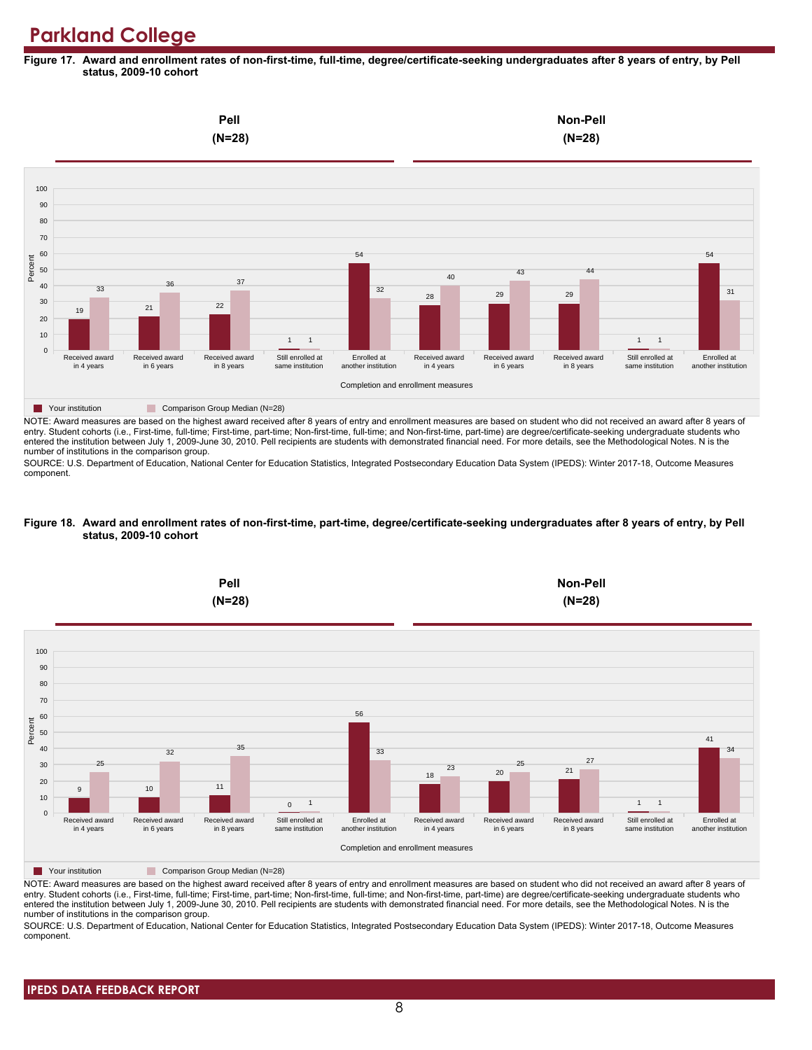**Figure 17. Award and enrollment rates of non-first-time, full-time, degree/certificate-seeking undergraduates after 8 years of entry, by Pell status, 2009-10 cohort**



NOTE: Award measures are based on the highest award received after 8 years of entry and enrollment measures are based on student who did not received an award after 8 years of entry. Student cohorts (i.e., First-time, full-time; First-time, part-time; Non-first-time, full-time; and Non-first-time, part-time) are degree/certificate-seeking undergraduate students who entered the institution between July 1, 2009-June 30, 2010. Pell recipients are students with demonstrated financial need. For more details, see the Methodological Notes. N is the number of institutions in the comparison group.

SOURCE: U.S. Department of Education, National Center for Education Statistics, Integrated Postsecondary Education Data System (IPEDS): Winter 2017-18, Outcome Measures component.

#### **Figure 18. Award and enrollment rates of non-first-time, part-time, degree/certificate-seeking undergraduates after 8 years of entry, by Pell status, 2009-10 cohort**



NOTE: Award measures are based on the highest award received after 8 years of entry and enrollment measures are based on student who did not received an award after 8 years of entry. Student cohorts (i.e., First-time, full-time; First-time, part-time; Non-first-time, full-time; and Non-first-time, part-time) are degree/certificate-seeking undergraduate students who entered the institution between July 1, 2009-June 30, 2010. Pell recipients are students with demonstrated financial need. For more details, see the Methodological Notes. N is the number of institutions in the comparison group.

SOURCE: U.S. Department of Education, National Center for Education Statistics, Integrated Postsecondary Education Data System (IPEDS): Winter 2017-18, Outcome Measures component.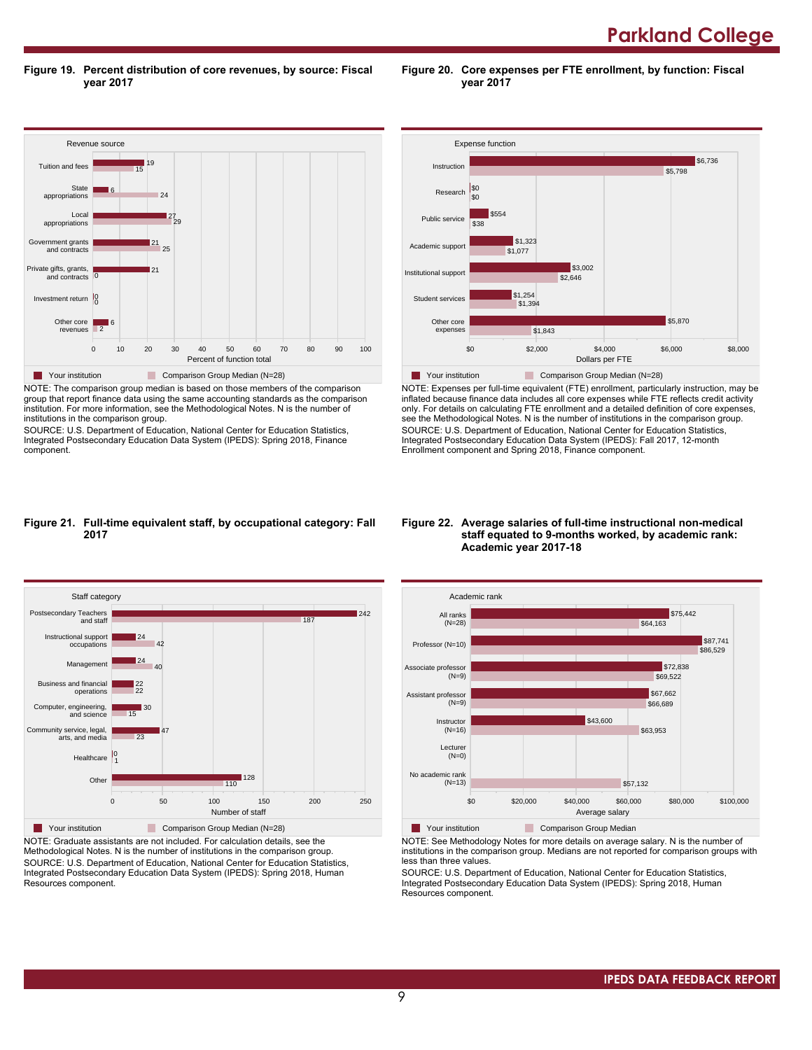**Parkland College** 

**Figure 19. Percent distribution of core revenues, by source: Fiscal year 2017**

Revenue source 0 10 20 30 40 50 60 70 80 90 100 Percent of function total Other core revenues Investment return 0 0 Private gifts, grants, and contracts Government grants and contracts Local appropriations State appropriations Tuition and fees  $\overline{2}$ 6 0 21 25 21 29 27 24 6 15 | 19 **The Comparison Group Median (N=28)** Comparison Group Median (N=28) NOTE: The comparison group median is based on those members of the comparison

group that report finance data using the same accounting standards as the comparison institution. For more information, see the Methodological Notes. N is the number of institutions in the comparison group.

SOURCE: U.S. Department of Education, National Center for Education Statistics, Integrated Postsecondary Education Data System (IPEDS): Spring 2018, Finance component.



**Figure 20. Core expenses per FTE enrollment, by function: Fiscal**

**year 2017**

NOTE: Expenses per full-time equivalent (FTE) enrollment, particularly instruction, may be inflated because finance data includes all core expenses while FTE reflects credit activity only. For details on calculating FTE enrollment and a detailed definition of core expenses, see the Methodological Notes. N is the number of institutions in the comparison group. SOURCE: U.S. Department of Education, National Center for Education Statistics, Integrated Postsecondary Education Data System (IPEDS): Fall 2017, 12-month Enrollment component and Spring 2018, Finance component.

#### **Figure 21. Full-time equivalent staff, by occupational category: Fall 2017**



NOTE: Graduate assistants are not included. For calculation details, see the Methodological Notes. N is the number of institutions in the comparison group. SOURCE: U.S. Department of Education, National Center for Education Statistics, Integrated Postsecondary Education Data System (IPEDS): Spring 2018, Human Resources component.

#### **Figure 22. Average salaries of full-time instructional non-medical staff equated to 9-months worked, by academic rank: Academic year 2017-18**



NOTE: See Methodology Notes for more details on average salary. N is the number of institutions in the comparison group. Medians are not reported for comparison groups with less than three values.

SOURCE: U.S. Department of Education, National Center for Education Statistics, Integrated Postsecondary Education Data System (IPEDS): Spring 2018, Human Resources component.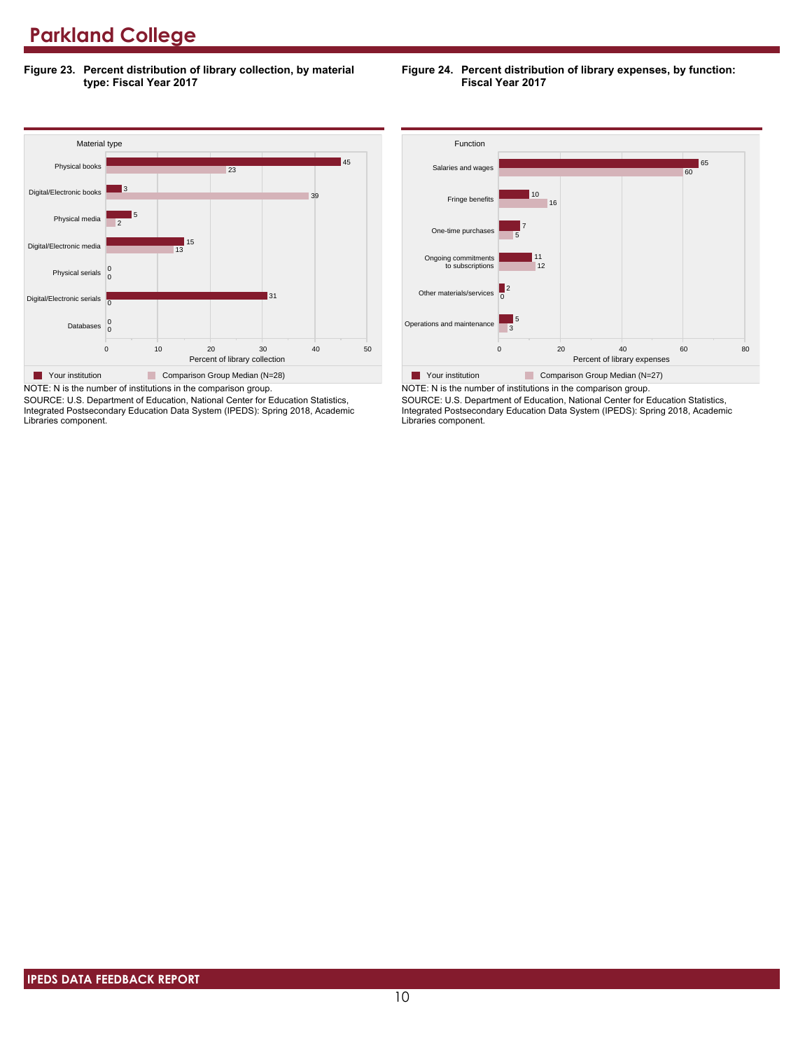**Figure 23. Percent distribution of library collection, by material type: Fiscal Year 2017**

#### **Figure 24. Percent distribution of library expenses, by function: Fiscal Year 2017**



SOURCE: U.S. Department of Education, National Center for Education Statistics, Integrated Postsecondary Education Data System (IPEDS): Spring 2018, Academic Libraries component.



SOURCE: U.S. Department of Education, National Center for Education Statistics, Integrated Postsecondary Education Data System (IPEDS): Spring 2018, Academic Libraries component.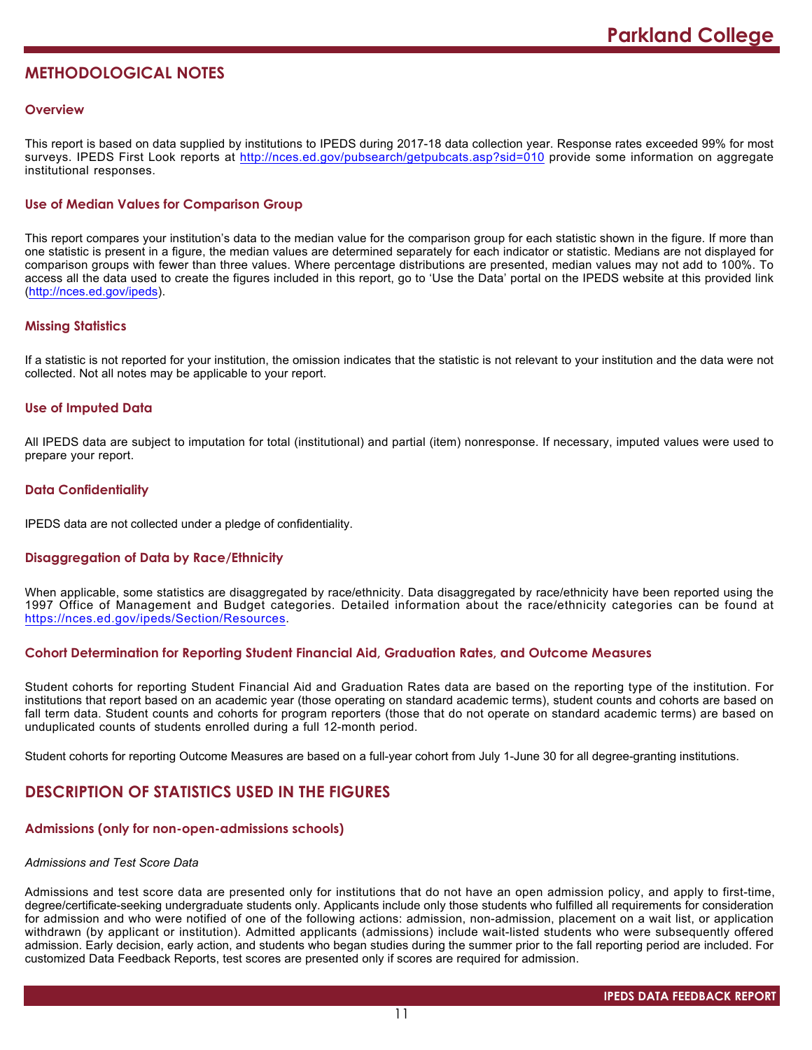# **METHODOLOGICAL NOTES**

### **Overview**

This report is based on data supplied by institutions to IPEDS during 2017-18 data collection year. Response rates exceeded 99% for most surveys. IPEDS First Look reports at <http://nces.ed.gov/pubsearch/getpubcats.asp?sid=010> provide some information on aggregate institutional responses.

# **Use of Median Values for Comparison Group**

This report compares your institution's data to the median value for the comparison group for each statistic shown in the figure. If more than one statistic is present in a figure, the median values are determined separately for each indicator or statistic. Medians are not displayed for comparison groups with fewer than three values. Where percentage distributions are presented, median values may not add to 100%. To access all the data used to create the figures included in this report, go to 'Use the Data' portal on the IPEDS website at this provided link (<http://nces.ed.gov/ipeds>).

# **Missing Statistics**

If a statistic is not reported for your institution, the omission indicates that the statistic is not relevant to your institution and the data were not collected. Not all notes may be applicable to your report.

### **Use of Imputed Data**

All IPEDS data are subject to imputation for total (institutional) and partial (item) nonresponse. If necessary, imputed values were used to prepare your report.

# **Data Confidentiality**

IPEDS data are not collected under a pledge of confidentiality.

# **Disaggregation of Data by Race/Ethnicity**

When applicable, some statistics are disaggregated by race/ethnicity. Data disaggregated by race/ethnicity have been reported using the 1997 Office of Management and Budget categories. Detailed information about the race/ethnicity categories can be found at <https://nces.ed.gov/ipeds/Section/Resources>.

#### **Cohort Determination for Reporting Student Financial Aid, Graduation Rates, and Outcome Measures**

Student cohorts for reporting Student Financial Aid and Graduation Rates data are based on the reporting type of the institution. For institutions that report based on an academic year (those operating on standard academic terms), student counts and cohorts are based on fall term data. Student counts and cohorts for program reporters (those that do not operate on standard academic terms) are based on unduplicated counts of students enrolled during a full 12-month period.

Student cohorts for reporting Outcome Measures are based on a full-year cohort from July 1-June 30 for all degree-granting institutions.

# **DESCRIPTION OF STATISTICS USED IN THE FIGURES**

# **Admissions (only for non-open-admissions schools)**

# *Admissions and Test Score Data*

Admissions and test score data are presented only for institutions that do not have an open admission policy, and apply to first-time, degree/certificate-seeking undergraduate students only. Applicants include only those students who fulfilled all requirements for consideration for admission and who were notified of one of the following actions: admission, non-admission, placement on a wait list, or application withdrawn (by applicant or institution). Admitted applicants (admissions) include wait-listed students who were subsequently offered admission. Early decision, early action, and students who began studies during the summer prior to the fall reporting period are included. For customized Data Feedback Reports, test scores are presented only if scores are required for admission.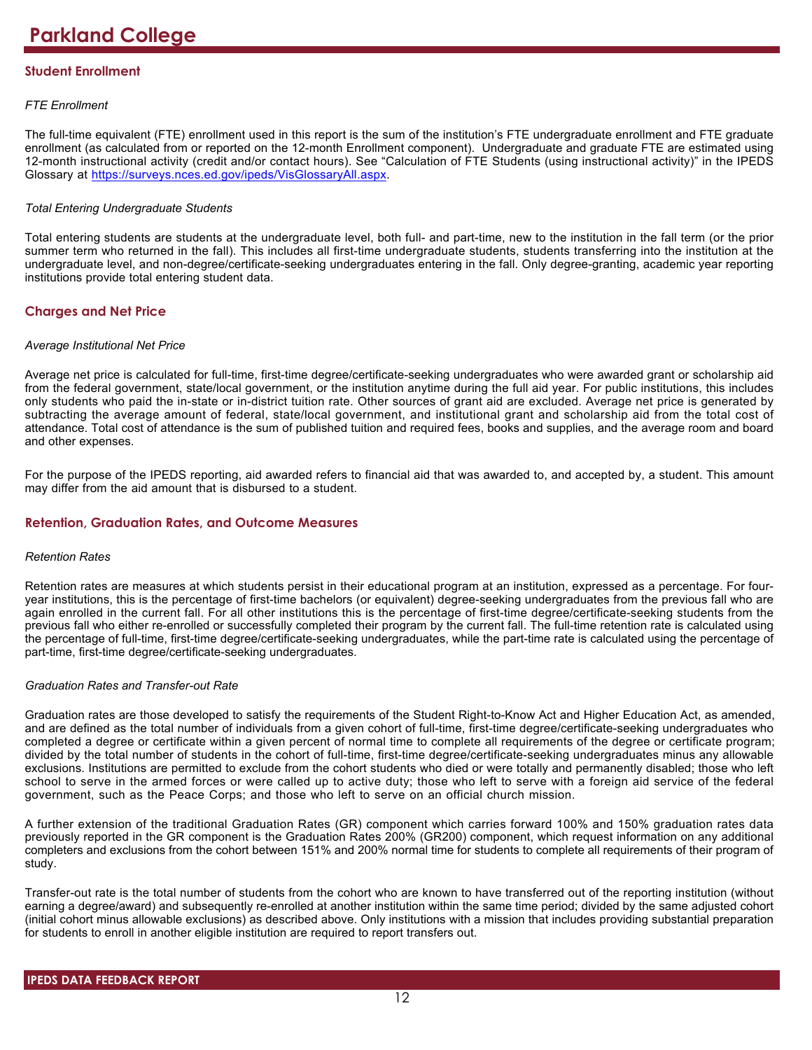# **Student Enrollment**

# *FTE Enrollment*

The full-time equivalent (FTE) enrollment used in this report is the sum of the institution's FTE undergraduate enrollment and FTE graduate enrollment (as calculated from or reported on the 12-month Enrollment component). Undergraduate and graduate FTE are estimated using 12-month instructional activity (credit and/or contact hours). See "Calculation of FTE Students (using instructional activity)" in the IPEDS Glossary at <https://surveys.nces.ed.gov/ipeds/VisGlossaryAll.aspx>.

# *Total Entering Undergraduate Students*

Total entering students are students at the undergraduate level, both full- and part-time, new to the institution in the fall term (or the prior summer term who returned in the fall). This includes all first-time undergraduate students, students transferring into the institution at the undergraduate level, and non-degree/certificate-seeking undergraduates entering in the fall. Only degree-granting, academic year reporting institutions provide total entering student data.

# **Charges and Net Price**

### *Average Institutional Net Price*

Average net price is calculated for full-time, first-time degree/certificate-seeking undergraduates who were awarded grant or scholarship aid from the federal government, state/local government, or the institution anytime during the full aid year. For public institutions, this includes only students who paid the in-state or in-district tuition rate. Other sources of grant aid are excluded. Average net price is generated by subtracting the average amount of federal, state/local government, and institutional grant and scholarship aid from the total cost of attendance. Total cost of attendance is the sum of published tuition and required fees, books and supplies, and the average room and board and other expenses.

For the purpose of the IPEDS reporting, aid awarded refers to financial aid that was awarded to, and accepted by, a student. This amount may differ from the aid amount that is disbursed to a student.

# **Retention, Graduation Rates, and Outcome Measures**

#### *Retention Rates*

Retention rates are measures at which students persist in their educational program at an institution, expressed as a percentage. For fouryear institutions, this is the percentage of first-time bachelors (or equivalent) degree-seeking undergraduates from the previous fall who are again enrolled in the current fall. For all other institutions this is the percentage of first-time degree/certificate-seeking students from the previous fall who either re-enrolled or successfully completed their program by the current fall. The full-time retention rate is calculated using the percentage of full-time, first-time degree/certificate-seeking undergraduates, while the part-time rate is calculated using the percentage of part-time, first-time degree/certificate-seeking undergraduates.

# *Graduation Rates and Transfer-out Rate*

Graduation rates are those developed to satisfy the requirements of the Student Right-to-Know Act and Higher Education Act, as amended, and are defined as the total number of individuals from a given cohort of full-time, first-time degree/certificate-seeking undergraduates who completed a degree or certificate within a given percent of normal time to complete all requirements of the degree or certificate program; divided by the total number of students in the cohort of full-time, first-time degree/certificate-seeking undergraduates minus any allowable exclusions. Institutions are permitted to exclude from the cohort students who died or were totally and permanently disabled; those who left school to serve in the armed forces or were called up to active duty; those who left to serve with a foreign aid service of the federal government, such as the Peace Corps; and those who left to serve on an official church mission.

A further extension of the traditional Graduation Rates (GR) component which carries forward 100% and 150% graduation rates data previously reported in the GR component is the Graduation Rates 200% (GR200) component, which request information on any additional completers and exclusions from the cohort between 151% and 200% normal time for students to complete all requirements of their program of study.

Transfer-out rate is the total number of students from the cohort who are known to have transferred out of the reporting institution (without earning a degree/award) and subsequently re-enrolled at another institution within the same time period; divided by the same adjusted cohort (initial cohort minus allowable exclusions) as described above. Only institutions with a mission that includes providing substantial preparation for students to enroll in another eligible institution are required to report transfers out.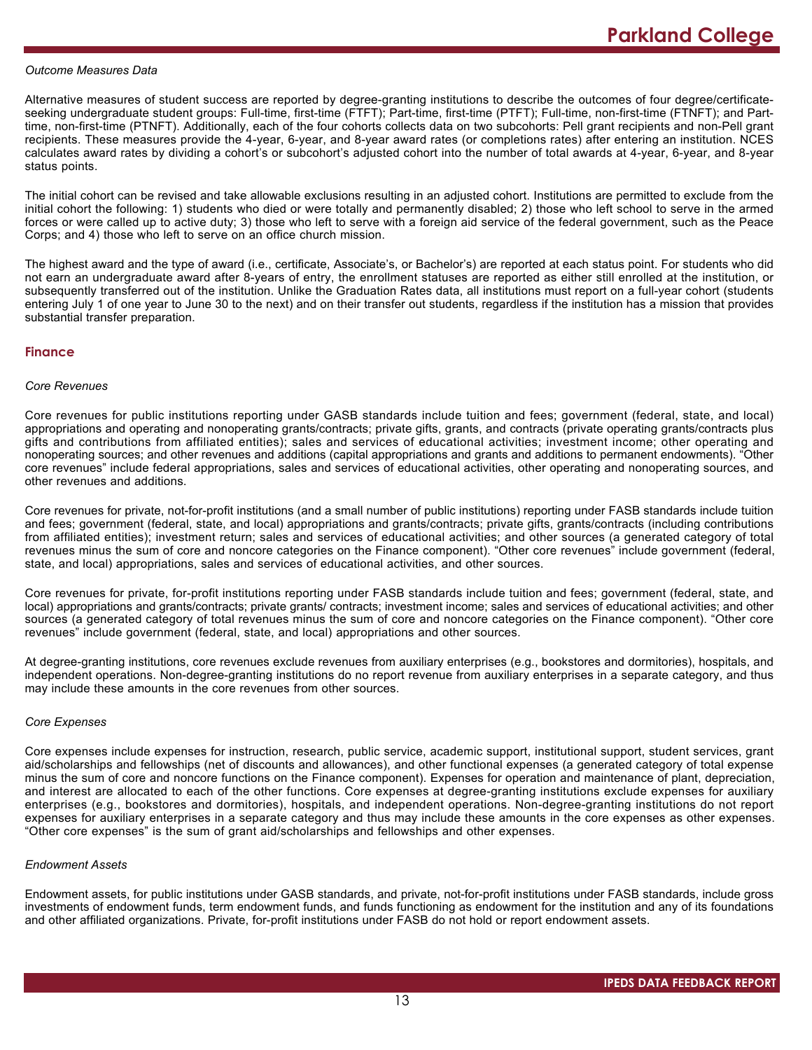#### *Outcome Measures Data*

Alternative measures of student success are reported by degree-granting institutions to describe the outcomes of four degree/certificateseeking undergraduate student groups: Full-time, first-time (FTFT); Part-time, first-time (PTFT); Full-time, non-first-time (FTNFT); and Parttime, non-first-time (PTNFT). Additionally, each of the four cohorts collects data on two subcohorts: Pell grant recipients and non-Pell grant recipients. These measures provide the 4-year, 6-year, and 8-year award rates (or completions rates) after entering an institution. NCES calculates award rates by dividing a cohort's or subcohort's adjusted cohort into the number of total awards at 4-year, 6-year, and 8-year status points.

The initial cohort can be revised and take allowable exclusions resulting in an adjusted cohort. Institutions are permitted to exclude from the initial cohort the following: 1) students who died or were totally and permanently disabled; 2) those who left school to serve in the armed forces or were called up to active duty; 3) those who left to serve with a foreign aid service of the federal government, such as the Peace Corps; and 4) those who left to serve on an office church mission.

The highest award and the type of award (i.e., certificate, Associate's, or Bachelor's) are reported at each status point. For students who did not earn an undergraduate award after 8-years of entry, the enrollment statuses are reported as either still enrolled at the institution, or subsequently transferred out of the institution. Unlike the Graduation Rates data, all institutions must report on a full-year cohort (students entering July 1 of one year to June 30 to the next) and on their transfer out students, regardless if the institution has a mission that provides substantial transfer preparation.

#### **Finance**

### *Core Revenues*

Core revenues for public institutions reporting under GASB standards include tuition and fees; government (federal, state, and local) appropriations and operating and nonoperating grants/contracts; private gifts, grants, and contracts (private operating grants/contracts plus gifts and contributions from affiliated entities); sales and services of educational activities; investment income; other operating and nonoperating sources; and other revenues and additions (capital appropriations and grants and additions to permanent endowments). "Other core revenues" include federal appropriations, sales and services of educational activities, other operating and nonoperating sources, and other revenues and additions.

Core revenues for private, not-for-profit institutions (and a small number of public institutions) reporting under FASB standards include tuition and fees; government (federal, state, and local) appropriations and grants/contracts; private gifts, grants/contracts (including contributions from affiliated entities); investment return; sales and services of educational activities; and other sources (a generated category of total revenues minus the sum of core and noncore categories on the Finance component). "Other core revenues" include government (federal, state, and local) appropriations, sales and services of educational activities, and other sources.

Core revenues for private, for-profit institutions reporting under FASB standards include tuition and fees; government (federal, state, and local) appropriations and grants/contracts; private grants/ contracts; investment income; sales and services of educational activities; and other sources (a generated category of total revenues minus the sum of core and noncore categories on the Finance component). "Other core revenues" include government (federal, state, and local) appropriations and other sources.

At degree-granting institutions, core revenues exclude revenues from auxiliary enterprises (e.g., bookstores and dormitories), hospitals, and independent operations. Non-degree-granting institutions do no report revenue from auxiliary enterprises in a separate category, and thus may include these amounts in the core revenues from other sources.

#### *Core Expenses*

Core expenses include expenses for instruction, research, public service, academic support, institutional support, student services, grant aid/scholarships and fellowships (net of discounts and allowances), and other functional expenses (a generated category of total expense minus the sum of core and noncore functions on the Finance component). Expenses for operation and maintenance of plant, depreciation, and interest are allocated to each of the other functions. Core expenses at degree-granting institutions exclude expenses for auxiliary enterprises (e.g., bookstores and dormitories), hospitals, and independent operations. Non-degree-granting institutions do not report expenses for auxiliary enterprises in a separate category and thus may include these amounts in the core expenses as other expenses. "Other core expenses" is the sum of grant aid/scholarships and fellowships and other expenses.

#### *Endowment Assets*

Endowment assets, for public institutions under GASB standards, and private, not-for-profit institutions under FASB standards, include gross investments of endowment funds, term endowment funds, and funds functioning as endowment for the institution and any of its foundations and other affiliated organizations. Private, for-profit institutions under FASB do not hold or report endowment assets.